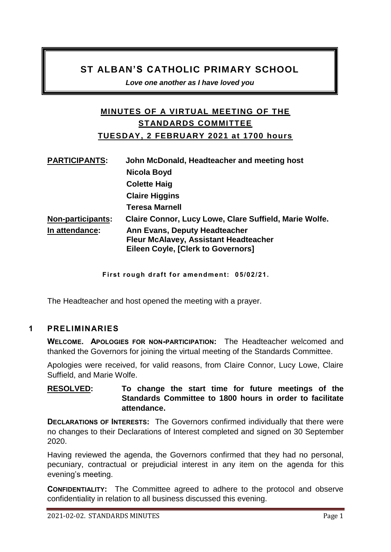# **ST ALBAN'S CATHOLIC PRIMARY SCHOOL**

*Love one another as I have loved you* 

# **MINUTES OF A VIRTUAL MEETING OF THE STANDARDS COMMITTEE TUESDAY, 2 FEBRUARY 2021 at 1700 hours**

| <b>PARTICIPANTS:</b>     | John McDonald, Headteacher and meeting host                                                                                       |
|--------------------------|-----------------------------------------------------------------------------------------------------------------------------------|
|                          | Nicola Boyd                                                                                                                       |
|                          | <b>Colette Haig</b>                                                                                                               |
|                          | <b>Claire Higgins</b>                                                                                                             |
|                          | <b>Teresa Marnell</b>                                                                                                             |
| <b>Non-participants:</b> | Claire Connor, Lucy Lowe, Clare Suffield, Marie Wolfe.                                                                            |
| In attendance:           | <b>Ann Evans, Deputy Headteacher</b><br><b>Fleur McAlavey, Assistant Headteacher</b><br><b>Eileen Coyle, [Clerk to Governors]</b> |

**First rough draft for amendment: 05/02/21.** 

The Headteacher and host opened the meeting with a prayer.

#### **1 PRELIMINARIES**

**WELCOME. APOLOGIES FOR NON-PARTICIPATION:** The Headteacher welcomed and thanked the Governors for joining the virtual meeting of the Standards Committee.

Apologies were received, for valid reasons, from Claire Connor, Lucy Lowe, Claire Suffield, and Marie Wolfe.

### **RESOLVED: To change the start time for future meetings of the Standards Committee to 1800 hours in order to facilitate attendance.**

**DECLARATIONS OF INTERESTS:** The Governors confirmed individually that there were no changes to their Declarations of Interest completed and signed on 30 September 2020.

Having reviewed the agenda, the Governors confirmed that they had no personal, pecuniary, contractual or prejudicial interest in any item on the agenda for this evening's meeting.

**CONFIDENTIALITY:** The Committee agreed to adhere to the protocol and observe confidentiality in relation to all business discussed this evening.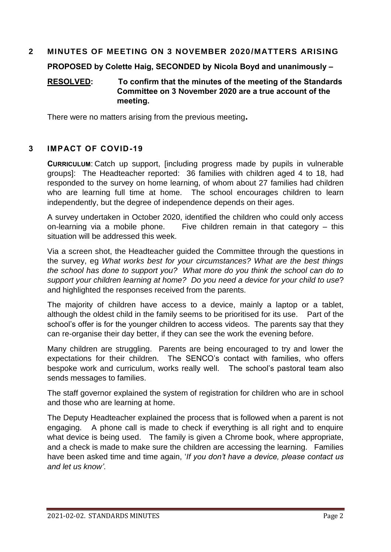#### **2 MINUTES OF MEETING ON 3 NOVEMBER 2020 /MATTERS ARISING**

**PROPOSED by Colette Haig, SECONDED by Nicola Boyd and unanimously –**

#### **RESOLVED: To confirm that the minutes of the meeting of the Standards Committee on 3 November 2020 are a true account of the meeting.**

There were no matters arising from the previous meeting**.** 

#### **3 IMPACT OF COVID-19**

**CURRICULUM**: Catch up support, [including progress made by pupils in vulnerable groups]: The Headteacher reported: 36 families with children aged 4 to 18, had responded to the survey on home learning, of whom about 27 families had children who are learning full time at home. The school encourages children to learn independently, but the degree of independence depends on their ages.

A survey undertaken in October 2020, identified the children who could only access on-learning via a mobile phone. Five children remain in that category – this situation will be addressed this week

Via a screen shot, the Headteacher guided the Committee through the questions in the survey, eg *What works best for your circumstances? What are the best things the school has done to support you? What more do you think the school can do to support your children learning at home? Do you need a device for your child to use*? and highlighted the responses received from the parents.

The majority of children have access to a device, mainly a laptop or a tablet, although the oldest child in the family seems to be prioritised for its use. Part of the school's offer is for the younger children to access videos. The parents say that they can re-organise their day better, if they can see the work the evening before.

Many children are struggling. Parents are being encouraged to try and lower the expectations for their children. The SENCO's contact with families, who offers bespoke work and curriculum, works really well. The school's pastoral team also sends messages to families.

The staff governor explained the system of registration for children who are in school and those who are learning at home.

The Deputy Headteacher explained the process that is followed when a parent is not engaging. A phone call is made to check if everything is all right and to enquire what device is being used. The family is given a Chrome book, where appropriate, and a check is made to make sure the children are accessing the learning. Families have been asked time and time again, '*If you don't have a device, please contact us and let us know'*.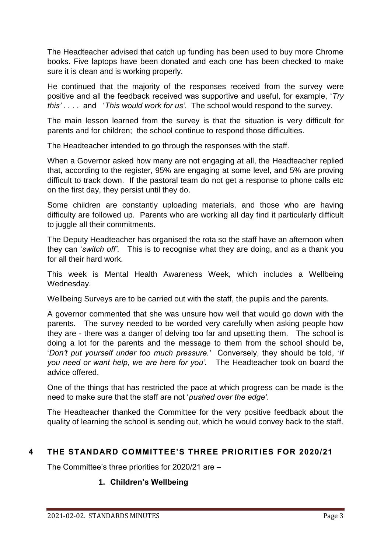The Headteacher advised that catch up funding has been used to buy more Chrome books. Five laptops have been donated and each one has been checked to make sure it is clean and is working properly.

He continued that the majority of the responses received from the survey were positive and all the feedback received was supportive and useful, for example, '*Try this' . .* . . and '*This would work for us'*. The school would respond to the survey.

The main lesson learned from the survey is that the situation is very difficult for parents and for children; the school continue to respond those difficulties.

The Headteacher intended to go through the responses with the staff.

When a Governor asked how many are not engaging at all, the Headteacher replied that, according to the register, 95% are engaging at some level, and 5% are proving difficult to track down. If the pastoral team do not get a response to phone calls etc on the first day, they persist until they do.

Some children are constantly uploading materials, and those who are having difficulty are followed up. Parents who are working all day find it particularly difficult to juggle all their commitments.

The Deputy Headteacher has organised the rota so the staff have an afternoon when they can '*switch off'*. This is to recognise what they are doing, and as a thank you for all their hard work.

This week is Mental Health Awareness Week, which includes a Wellbeing Wednesday.

Wellbeing Surveys are to be carried out with the staff, the pupils and the parents.

A governor commented that she was unsure how well that would go down with the parents. The survey needed to be worded very carefully when asking people how they are - there was a danger of delving too far and upsetting them. The school is doing a lot for the parents and the message to them from the school should be, '*Don't put yourself under too much pressure.'* Conversely, they should be told, '*If you need or want help, we are here for you'.* The Headteacher took on board the advice offered.

One of the things that has restricted the pace at which progress can be made is the need to make sure that the staff are not '*pushed over the edge'*.

The Headteacher thanked the Committee for the very positive feedback about the quality of learning the school is sending out, which he would convey back to the staff.

# **4 THE STANDARD COMMITTEE'S THREE PRIORITIES FOR 2020/21**

The Committee's three priorities for 2020/21 are –

#### **1. Children's Wellbeing**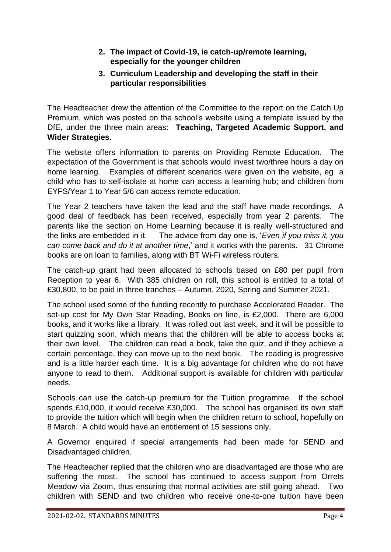- **2. The impact of Covid-19, ie catch-up/remote learning, especially for the younger children**
- **3. Curriculum Leadership and developing the staff in their particular responsibilities**

The Headteacher drew the attention of the Committee to the report on the Catch Up Premium, which was posted on the school's website using a template issued by the DfE, under the three main areas: **Teaching, Targeted Academic Support, and Wider Strategies.** 

The website offers information to parents on Providing Remote Education. The expectation of the Government is that schools would invest two/three hours a day on home learning. Examples of different scenarios were given on the website, eg a child who has to self-isolate at home can access a learning hub; and children from EYFS/Year 1 to Year 5/6 can access remote education.

The Year 2 teachers have taken the lead and the staff have made recordings. A good deal of feedback has been received, especially from year 2 parents. The parents like the section on Home Learning because it is really well-structured and the links are embedded in it. The advice from day one is, '*Even if you miss it, you can come back and do it at another time*,' and it works with the parents. 31 Chrome books are on loan to families, along with BT Wi-Fi wireless routers.

The catch-up grant had been allocated to schools based on £80 per pupil from Reception to year 6. With 385 children on roll, this school is entitled to a total of £30,800, to be paid in three tranches – Autumn, 2020, Spring and Summer 2021.

The school used some of the funding recently to purchase Accelerated Reader. The set-up cost for My Own Star Reading, Books on line, is £2,000. There are 6,000 books, and it works like a library. It was rolled out last week, and it will be possible to start quizzing soon, which means that the children will be able to access books at their own level. The children can read a book, take the quiz, and if they achieve a certain percentage, they can move up to the next book. The reading is progressive and is a little harder each time. It is a big advantage for children who do not have anyone to read to them. Additional support is available for children with particular needs.

Schools can use the catch-up premium for the Tuition programme. If the school spends £10,000, it would receive £30,000. The school has organised its own staff to provide the tuition which will begin when the children return to school, hopefully on 8 March. A child would have an entitlement of 15 sessions only.

A Governor enquired if special arrangements had been made for SEND and Disadvantaged children.

The Headteacher replied that the children who are disadvantaged are those who are suffering the most. The school has continued to access support from Orrets Meadow via Zoom, thus ensuring that normal activities are still going ahead. Two children with SEND and two children who receive one-to-one tuition have been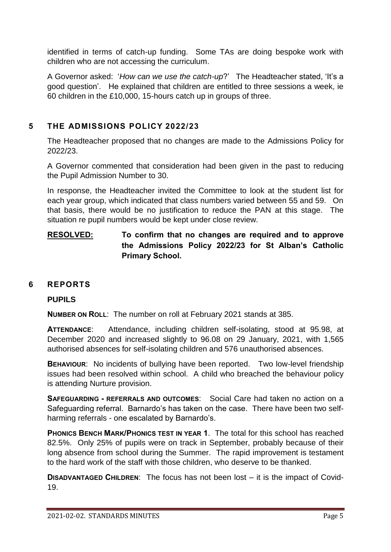identified in terms of catch-up funding. Some TAs are doing bespoke work with children who are not accessing the curriculum.

A Governor asked: '*How can we use the catch-up*?' The Headteacher stated, 'It's a good question'. He explained that children are entitled to three sessions a week, ie 60 children in the £10,000, 15-hours catch up in groups of three.

### **5 THE ADMISSIONS POLICY 2022/23**

The Headteacher proposed that no changes are made to the Admissions Policy for 2022/23.

A Governor commented that consideration had been given in the past to reducing the Pupil Admission Number to 30.

In response, the Headteacher invited the Committee to look at the student list for each year group, which indicated that class numbers varied between 55 and 59. On that basis, there would be no justification to reduce the PAN at this stage. The situation re pupil numbers would be kept under close review.

# **RESOLVED: To confirm that no changes are required and to approve the Admissions Policy 2022/23 for St Alban's Catholic Primary School.**

#### **6 REPORTS**

#### **PUPILS**

**NUMBER ON ROLL**: The number on roll at February 2021 stands at 385.

**ATTENDANCE**: Attendance, including children self-isolating, stood at 95.98, at December 2020 and increased slightly to 96.08 on 29 January, 2021, with 1,565 authorised absences for self-isolating children and 576 unauthorised absences.

**BEHAVIOUR**: No incidents of bullying have been reported. Two low-level friendship issues had been resolved within school. A child who breached the behaviour policy is attending Nurture provision.

**SAFEGUARDING - REFERRALS AND OUTCOMES**: Social Care had taken no action on a Safeguarding referral. Barnardo's has taken on the case. There have been two selfharming referrals - one escalated by Barnardo's.

**PHONICS BENCH MARK/PHONICS TEST IN YEAR 1**. The total for this school has reached 82.5%. Only 25% of pupils were on track in September, probably because of their long absence from school during the Summer. The rapid improvement is testament to the hard work of the staff with those children, who deserve to be thanked.

**DISADVANTAGED CHILDREN:** The focus has not been lost – it is the impact of Covid-19.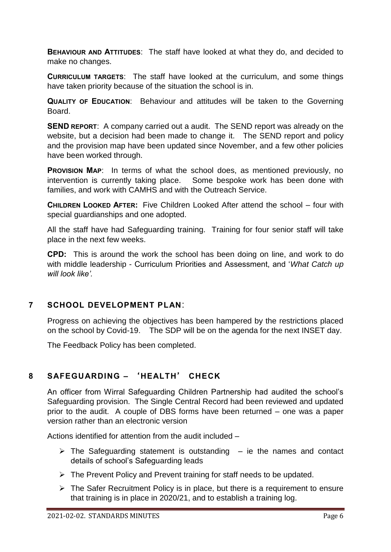**BEHAVIOUR AND ATTITUDES**: The staff have looked at what they do, and decided to make no changes.

**CURRICULUM TARGETS**: The staff have looked at the curriculum, and some things have taken priority because of the situation the school is in.

**QUALITY OF EDUCATION**: Behaviour and attitudes will be taken to the Governing Board.

**SEND REPORT:** A company carried out a audit. The SEND report was already on the website, but a decision had been made to change it. The SEND report and policy and the provision map have been updated since November, and a few other policies have been worked through.

**PROVISION MAP**: In terms of what the school does, as mentioned previously, no intervention is currently taking place. Some bespoke work has been done with families, and work with CAMHS and with the Outreach Service.

**CHILDREN LOOKED AFTER:** Five Children Looked After attend the school – four with special guardianships and one adopted.

All the staff have had Safeguarding training. Training for four senior staff will take place in the next few weeks.

**CPD:** This is around the work the school has been doing on line, and work to do with middle leadership - Curriculum Priorities and Assessment, and '*What Catch up will look like'.* 

#### **7 SCHOOL DEVELOPMENT PLAN**:

Progress on achieving the objectives has been hampered by the restrictions placed on the school by Covid-19. The SDP will be on the agenda for the next INSET day.

The Feedback Policy has been completed.

# **8 SAFEGUARDING –** '**HEALTH**' **CHECK**

An officer from Wirral Safeguarding Children Partnership had audited the school's Safeguarding provision. The Single Central Record had been reviewed and updated prior to the audit. A couple of DBS forms have been returned – one was a paper version rather than an electronic version

Actions identified for attention from the audit included –

- $\triangleright$  The Safeguarding statement is outstanding  $-$  ie the names and contact details of school's Safeguarding leads
- $\triangleright$  The Prevent Policy and Prevent training for staff needs to be updated.
- $\triangleright$  The Safer Recruitment Policy is in place, but there is a requirement to ensure that training is in place in 2020/21, and to establish a training log.